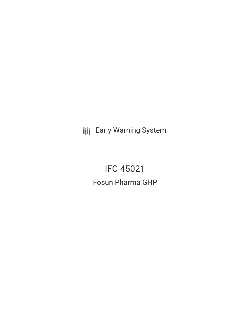**III** Early Warning System

IFC-45021 Fosun Pharma GHP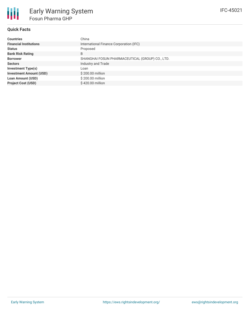## **Quick Facts**

| <b>Countries</b>               | China                                           |
|--------------------------------|-------------------------------------------------|
| <b>Financial Institutions</b>  | International Finance Corporation (IFC)         |
| <b>Status</b>                  | Proposed                                        |
| <b>Bank Risk Rating</b>        | B                                               |
| <b>Borrower</b>                | SHANGHAI FOSUN PHARMACEUTICAL (GROUP) CO., LTD. |
| <b>Sectors</b>                 | Industry and Trade                              |
| <b>Investment Type(s)</b>      | Loan                                            |
| <b>Investment Amount (USD)</b> | \$200.00 million                                |
| <b>Loan Amount (USD)</b>       | \$200.00 million                                |
| <b>Project Cost (USD)</b>      | \$420,00 million                                |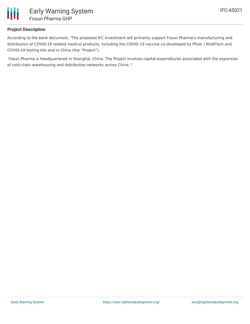

# **Project Description**

According to the bank document, "The proposed IFC investment will primarily support Fosun Pharma's manufacturing and distribution of COVID-19 related medical products, including the COVID-19 vaccine co-developed by Pfizer / BioNTech and COVID-19 testing kits and in China (the "Project").

Fosun Pharma is headquartered in Shanghai, China. The Project involves capital expenditures associated with the expansion of cold-chain warehousing and distribution networks across China. "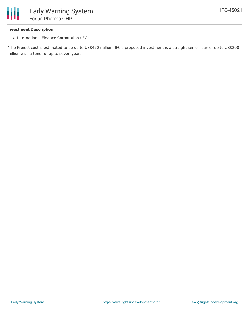#### **Investment Description**

• International Finance Corporation (IFC)

"The Project cost is estimated to be up to US\$420 million. IFC's proposed investment is a straight senior loan of up to US\$200 million with a tenor of up to seven years".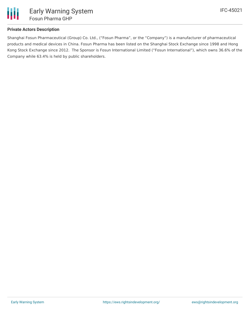

# **Private Actors Description**

Shanghai Fosun Pharmaceutical (Group) Co. Ltd., ("Fosun Pharma", or the "Company") is a manufacturer of pharmaceutical products and medical devices in China. Fosun Pharma has been listed on the Shanghai Stock Exchange since 1998 and Hong Kong Stock Exchange since 2012. The Sponsor is Fosun International Limited ("Fosun International"), which owns 36.6% of the Company while 63.4% is held by public shareholders.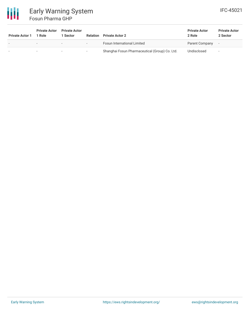

# Early Warning System Fosun Pharma GHP

| <b>Private Actor 1</b>   | <b>Private Actor</b><br>1 Role | <b>Private Actor</b><br>Sector | <b>Relation</b>          | <b>Private Actor 2</b>                         | <b>Private Actor</b><br>2 Role | <b>Private Actor</b><br>2 Sector |
|--------------------------|--------------------------------|--------------------------------|--------------------------|------------------------------------------------|--------------------------------|----------------------------------|
| $\overline{\phantom{a}}$ | $\overline{\phantom{0}}$       | $\overline{\phantom{0}}$       | $\sim$                   | <b>Fosun International Limited</b>             | Parent Company                 | $\overline{\phantom{a}}$         |
|                          |                                | $\overline{\phantom{a}}$       | $\overline{\phantom{a}}$ | Shanghai Fosun Pharmaceutical (Group) Co. Ltd. | Undisclosed                    | $\overline{\phantom{a}}$         |